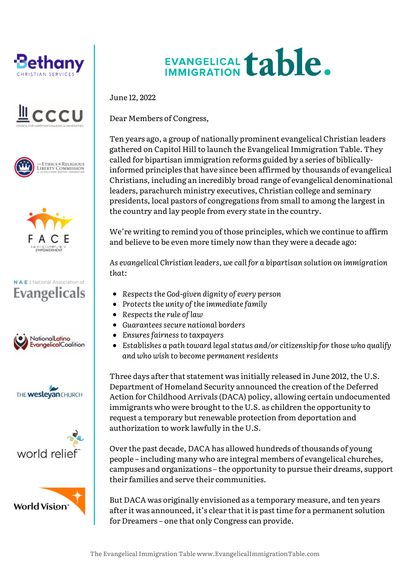







## N A E | National Association of **Evangelicals**









## EVANGELICAL **table.**

June 12, 2022

Dear Members of Congress,

Ten years ago, a group of nationally prominent evangelical Christian leaders gathered on Capitol Hill to launch the Evangelical Immigration Table. They called for bipartisan immigration reforms guided by a series of biblicallyinformed principles that have since been affirmed by thousands of evangelical Christians, including an incredibly broad range of evangelical denominational leaders, parachurch ministry executives, Christian college and seminary presidents, local pastors of congregations from small to among the largest in the country and lay people from every state in the country.

We're writing to remind you of those principles, which we continue to affirm and believe to be even more timely now than they were a decade ago:

*As evangelical Christian leaders, we call for a bipartisan solution on immigration that:*

- *Respects the God-given dignity of every person*
- *Protects the unity of the immediate family*
- *Respects the rule of law*
- *Guarantees secure national borders*
- *Ensures fairness to taxpayers*
- *Establishes a path toward legal status and/or citizenship for those who qualify and who wish to become permanent residents*

Three days after that statement was initially released in June 2012, the U.S. Department of Homeland Security announced the creation of the Deferred Action for Childhood Arrivals (DACA) policy, allowing certain undocumented immigrants who were brought to the U.S. as children the opportunity to request a temporary but renewable protection from deportation and authorization to work lawfully in the U.S.

Over the past decade, DACA has allowed hundreds of thousands of young people – including many who are integral members of evangelical churches, campuses and organizations – the opportunity to pursue their dreams, support their families and serve their communities.

But DACA was originally envisioned as a temporary measure, and ten years after it was announced, it's clear that it is past time for a permanent solution for Dreamers – one that only Congress can provide.